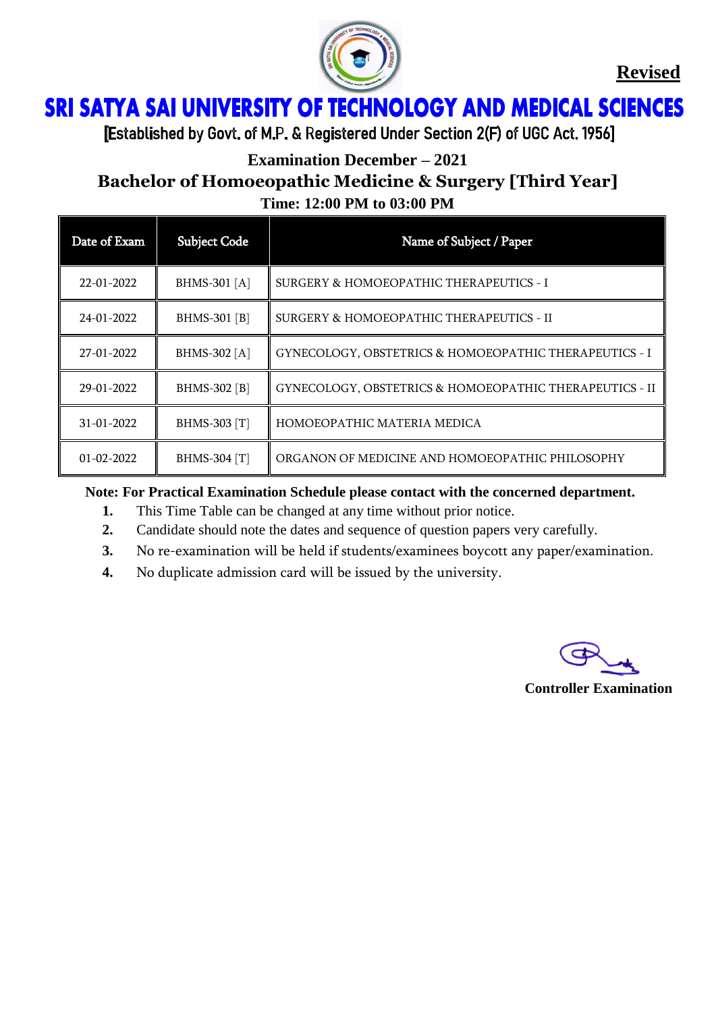

**Revised**

# **SRI SATYA SAI UNIVERSITY OF TECHNOLOGY AND MEDICAL SCIENCES** Ï

[Established by Govt. of M.P. & Registered Under Section 2(F) of UGC Act. 1956]

# **Examination December – 2021**

# **Bachelor of Homoeopathic Medicine & Surgery [Third Year]**

| Time: 12:00 PM to 03:00 PM |
|----------------------------|
|                            |

| Date of Exam     | <b>Subject Code</b> | Name of Subject / Paper                                 |
|------------------|---------------------|---------------------------------------------------------|
| 22-01-2022       | <b>BHMS-301</b> [A] | SURGERY & HOMOEOPATHIC THERAPEUTICS - I                 |
| 24-01-2022       | BHMS-301 [B]        | SURGERY & HOMOEOPATHIC THERAPEUTICS - II                |
| 27-01-2022       | <b>BHMS-302</b> [A] | GYNECOLOGY, OBSTETRICS & HOMOEOPATHIC THERAPEUTICS - I  |
| 29-01-2022       | BHMS-302 [B]        | GYNECOLOGY, OBSTETRICS & HOMOEOPATHIC THERAPEUTICS - II |
| 31-01-2022       | BHMS-303 [T]        | HOMOEOPATHIC MATERIA MEDICA                             |
| $01 - 02 - 2022$ | BHMS-304 [T]        | ORGANON OF MEDICINE AND HOMOEOPATHIC PHILOSOPHY         |

**Note: For Practical Examination Schedule please contact with the concerned department.**

- **1.** This Time Table can be changed at any time without prior notice.
- **2.** Candidate should note the dates and sequence of question papers very carefully.
- **3.** No re-examination will be held if students/examinees boycott any paper/examination.
- **4.** No duplicate admission card will be issued by the university.



**Controller Examination**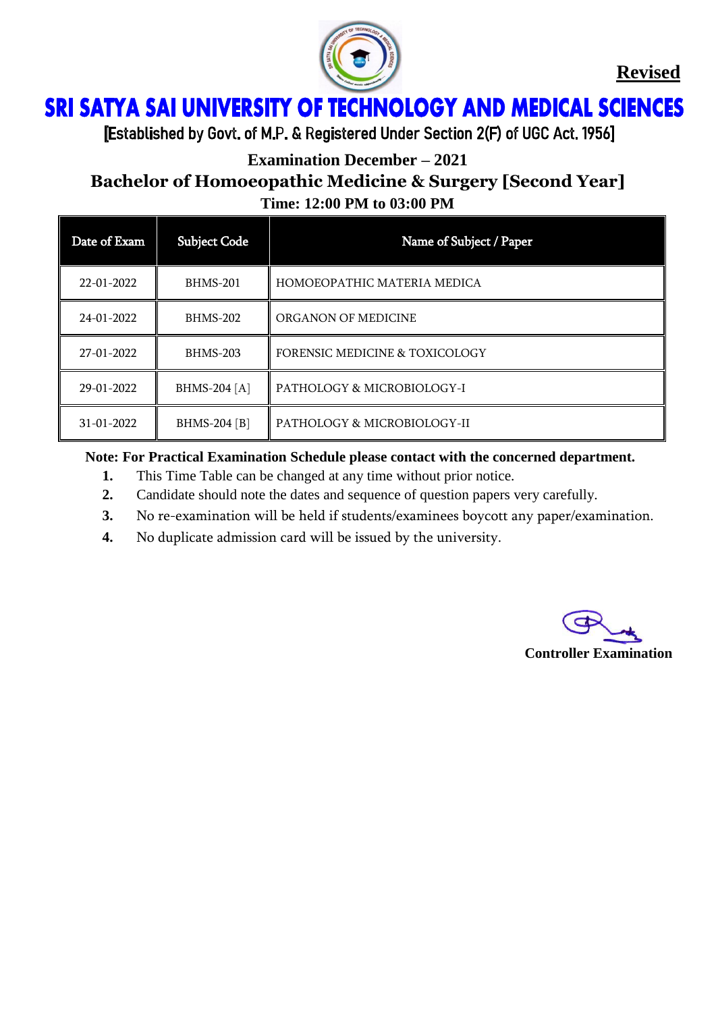

**Revised**

# ì Ï

[Established by Govt. of M.P. & Registered Under Section 2(F) of UGC Act. 1956]

**Examination December – 2021**

# **Bachelor of Homoeopathic Medicine & Surgery [Second Year] Time: 12:00 PM to 03:00 PM**

| Date of Exam     | <b>Subject Code</b> | Name of Subject / Paper                   |
|------------------|---------------------|-------------------------------------------|
| $22 - 01 - 2022$ | BHMS-201            | HOMOEOPATHIC MATERIA MEDICA               |
| 24-01-2022       | <b>BHMS-202</b>     | ORGANON OF MEDICINE                       |
| 27-01-2022       | <b>BHMS-203</b>     | <b>FORENSIC MEDICINE &amp; TOXICOLOGY</b> |
| 29-01-2022       | BHMS-204 [A]        | PATHOLOGY & MICROBIOLOGY-I                |
| 31-01-2022       | BHMS-204 [B]        | PATHOLOGY & MICROBIOLOGY-II               |

#### **Note: For Practical Examination Schedule please contact with the concerned department.**

- **1.** This Time Table can be changed at any time without prior notice.
- **2.** Candidate should note the dates and sequence of question papers very carefully.
- **3.** No re-examination will be held if students/examinees boycott any paper/examination.
- **4.** No duplicate admission card will be issued by the university.

**Controller Examination**